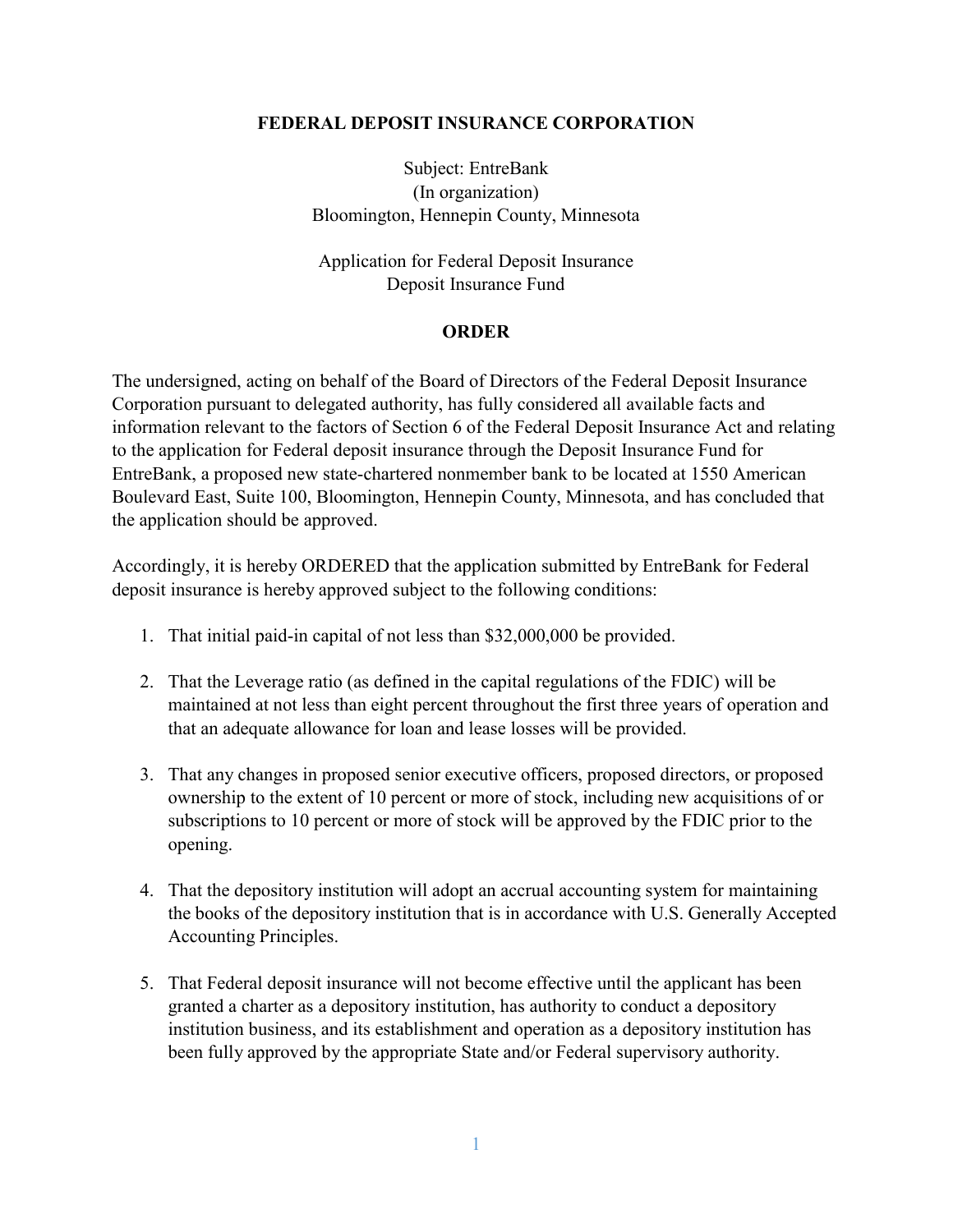#### **FEDERAL DEPOSIT INSURANCE CORPORATION**

Subject: EntreBank (In organization) Bloomington, Hennepin County, Minnesota

Application for Federal Deposit Insurance Deposit Insurance Fund

#### **ORDER**

The undersigned, acting on behalf of the Board of Directors of the Federal Deposit Insurance Corporation pursuant to delegated authority, has fully considered all available facts and information relevant to the factors of Section 6 of the Federal Deposit Insurance Act and relating to the application for Federal deposit insurance through the Deposit Insurance Fund for EntreBank, a proposed new state-chartered nonmember bank to be located at 1550 American Boulevard East, Suite 100, Bloomington, Hennepin County, Minnesota, and has concluded that the application should be approved.

Accordingly, it is hereby ORDERED that the application submitted by EntreBank for Federal deposit insurance is hereby approved subject to the following conditions:

- 1. That initial paid-in capital of not less than \$32,000,000 be provided.
- 2. That the Leverage ratio (as defined in the capital regulations of the FDIC) will be maintained at not less than eight percent throughout the first three years of operation and that an adequate allowance for loan and lease losses will be provided.
- 3. That any changes in proposed senior executive officers, proposed directors, or proposed ownership to the extent of 10 percent or more of stock, including new acquisitions of or subscriptions to 10 percent or more of stock will be approved by the FDIC prior to the opening.
- 4. That the depository institution will adopt an accrual accounting system for maintaining the books of the depository institution that is in accordance with U.S. Generally Accepted Accounting Principles.
- 5. That Federal deposit insurance will not become effective until the applicant has been granted a charter as a depository institution, has authority to conduct a depository institution business, and its establishment and operation as a depository institution has been fully approved by the appropriate State and/or Federal supervisory authority.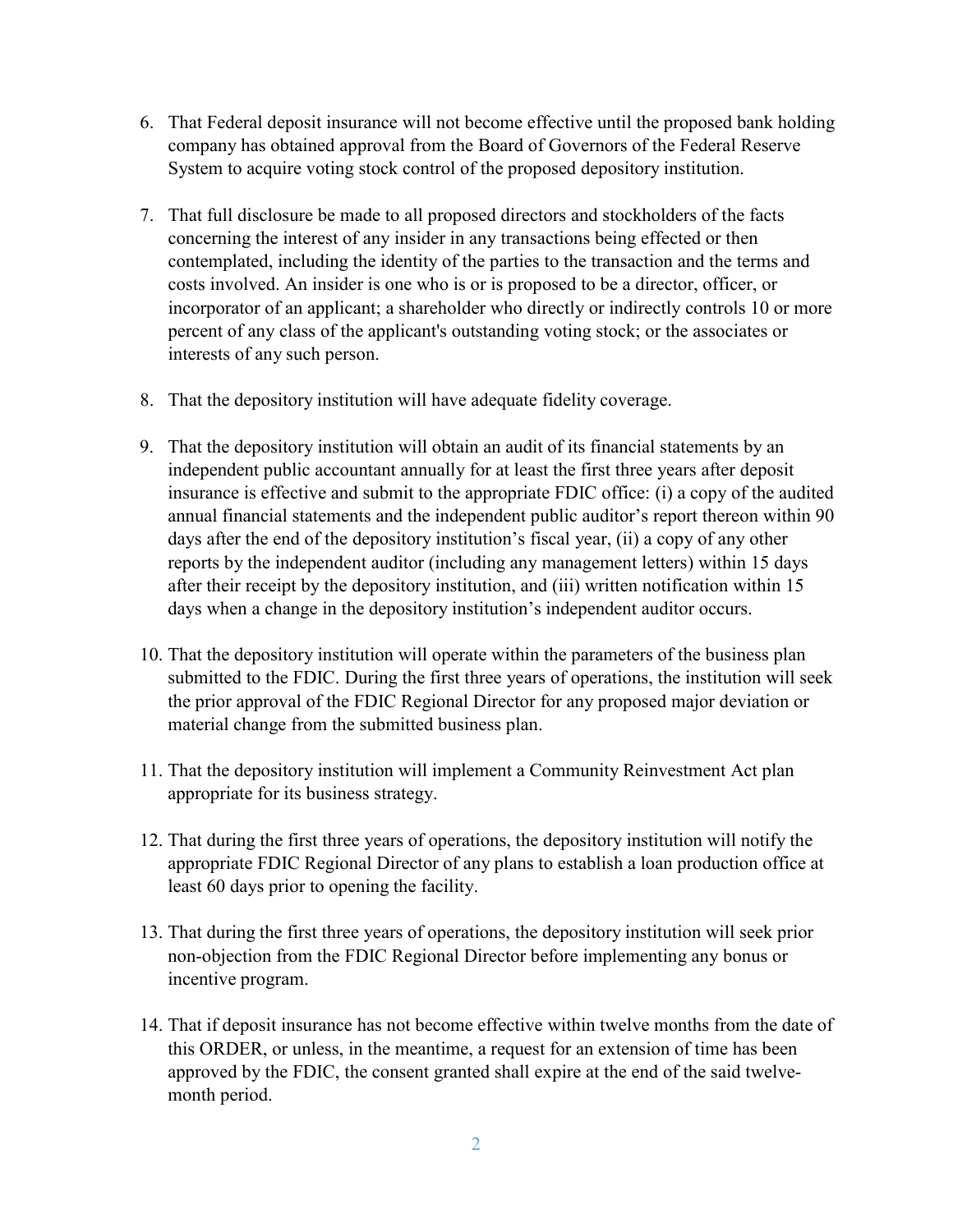- 6. That Federal deposit insurance will not become effective until the proposed bank holding company has obtained approval from the Board of Governors of the Federal Reserve System to acquire voting stock control of the proposed depository institution.
- 7. That full disclosure be made to all proposed directors and stockholders of the facts concerning the interest of any insider in any transactions being effected or then contemplated, including the identity of the parties to the transaction and the terms and costs involved. An insider is one who is or is proposed to be a director, officer, or incorporator of an applicant; a shareholder who directly or indirectly controls 10 or more percent of any class of the applicant's outstanding voting stock; or the associates or interests of any such person.
- 8. That the depository institution will have adequate fidelity coverage.
- 9. That the depository institution will obtain an audit of its financial statements by an independent public accountant annually for at least the first three years after deposit insurance is effective and submit to the appropriate FDIC office: (i) a copy of the audited annual financial statements and the independent public auditor's report thereon within 90 days after the end of the depository institution's fiscal year, (ii) a copy of any other reports by the independent auditor (including any management letters) within 15 days after their receipt by the depository institution, and (iii) written notification within 15 days when a change in the depository institution's independent auditor occurs.
- 10. That the depository institution will operate within the parameters of the business plan submitted to the FDIC. During the first three years of operations, the institution will seek the prior approval of the FDIC Regional Director for any proposed major deviation or material change from the submitted business plan.
- 11. That the depository institution will implement a Community Reinvestment Act plan appropriate for its business strategy.
- 12. That during the first three years of operations, the depository institution will notify the appropriate FDIC Regional Director of any plans to establish a loan production office at least 60 days prior to opening the facility.
- 13. That during the first three years of operations, the depository institution will seek prior non-objection from the FDIC Regional Director before implementing any bonus or incentive program.
- 14. That if deposit insurance has not become effective within twelve months from the date of this ORDER, or unless, in the meantime, a request for an extension of time has been approved by the FDIC, the consent granted shall expire at the end of the said twelvemonth period.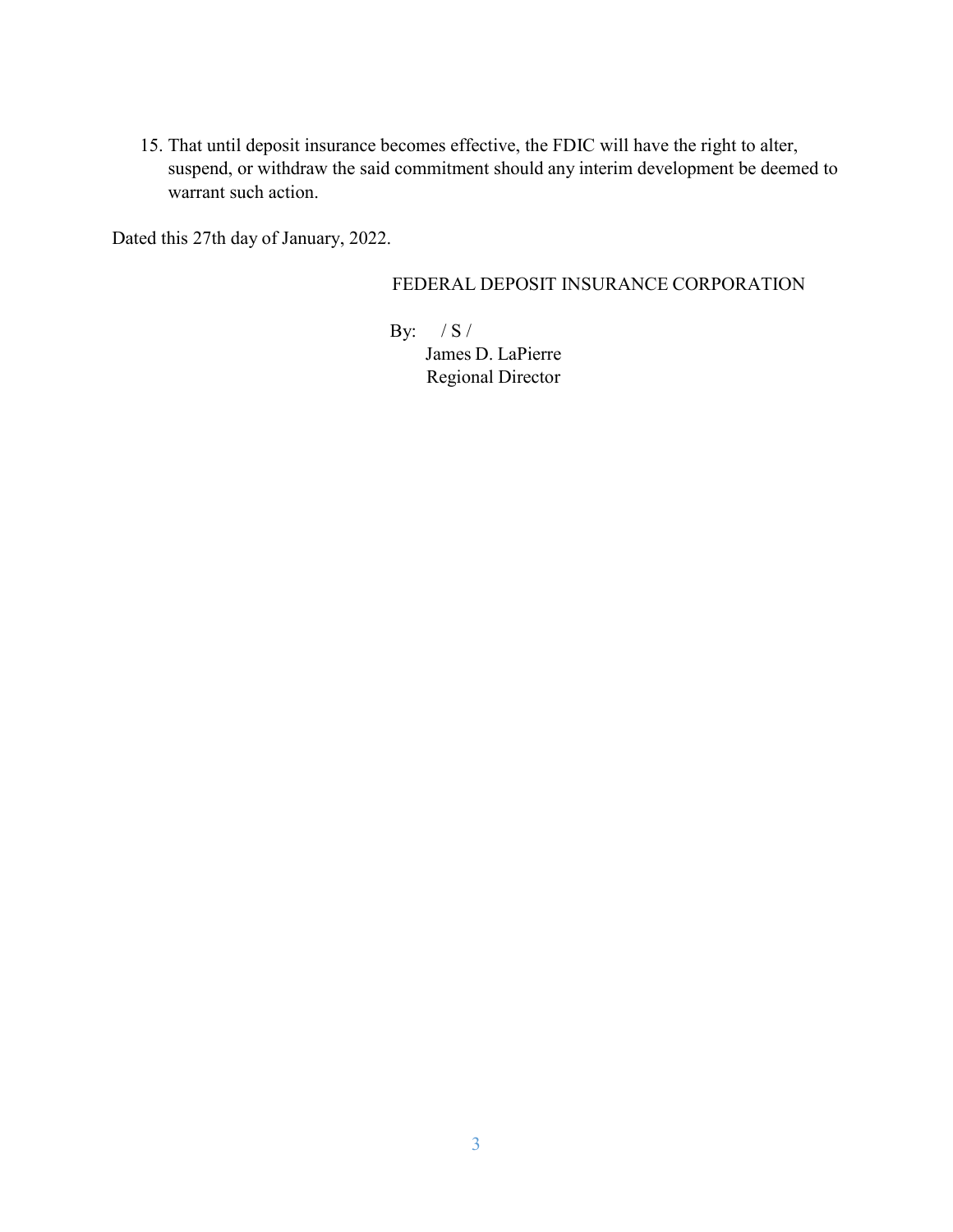15. That until deposit insurance becomes effective, the FDIC will have the right to alter, suspend, or withdraw the said commitment should any interim development be deemed to warrant such action.

Dated this 27th day of January, 2022.

### FEDERAL DEPOSIT INSURANCE CORPORATION

By: / S / James D. LaPierre Regional Director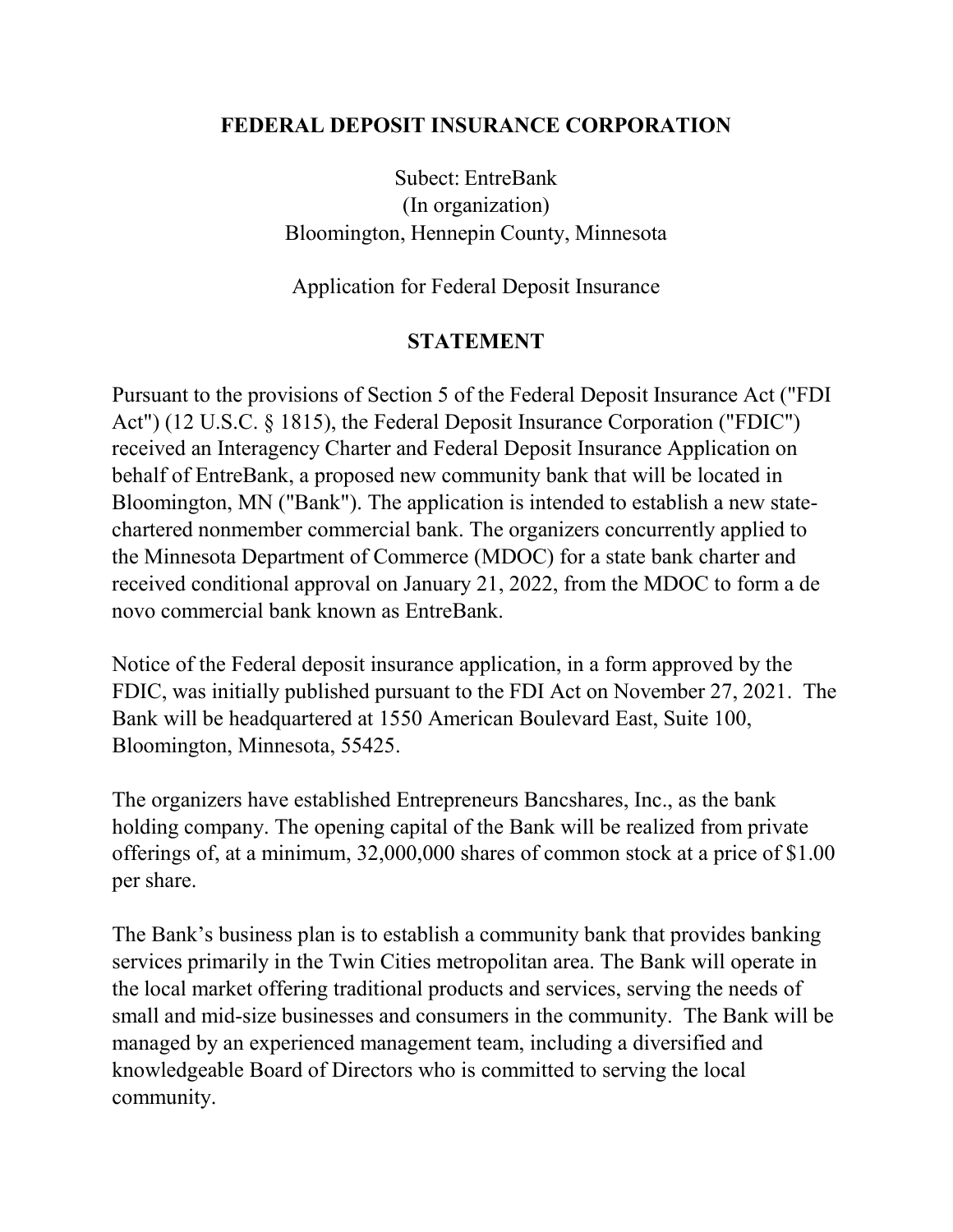## **FEDERAL DEPOSIT INSURANCE CORPORATION**

Subect: EntreBank (In organization) Bloomington, Hennepin County, Minnesota

Application for Federal Deposit Insurance

## **STATEMENT**

Pursuant to the provisions of Section 5 of the Federal Deposit Insurance Act ("FDI Act") (12 U.S.C. § 1815), the Federal Deposit Insurance Corporation ("FDIC") received an Interagency Charter and Federal Deposit Insurance Application on behalf of EntreBank, a proposed new community bank that will be located in Bloomington, MN ("Bank"). The application is intended to establish a new statechartered nonmember commercial bank. The organizers concurrently applied to the Minnesota Department of Commerce (MDOC) for a state bank charter and received conditional approval on January 21, 2022, from the MDOC to form a de novo commercial bank known as EntreBank.

Notice of the Federal deposit insurance application, in a form approved by the FDIC, was initially published pursuant to the FDI Act on November 27, 2021. The Bank will be headquartered at 1550 American Boulevard East, Suite 100, Bloomington, Minnesota, 55425.

The organizers have established Entrepreneurs Bancshares, Inc., as the bank holding company. The opening capital of the Bank will be realized from private offerings of, at a minimum, 32,000,000 shares of common stock at a price of \$1.00 per share.

The Bank's business plan is to establish a community bank that provides banking services primarily in the Twin Cities metropolitan area. The Bank will operate in the local market offering traditional products and services, serving the needs of small and mid-size businesses and consumers in the community. The Bank will be managed by an experienced management team, including a diversified and knowledgeable Board of Directors who is committed to serving the local community.